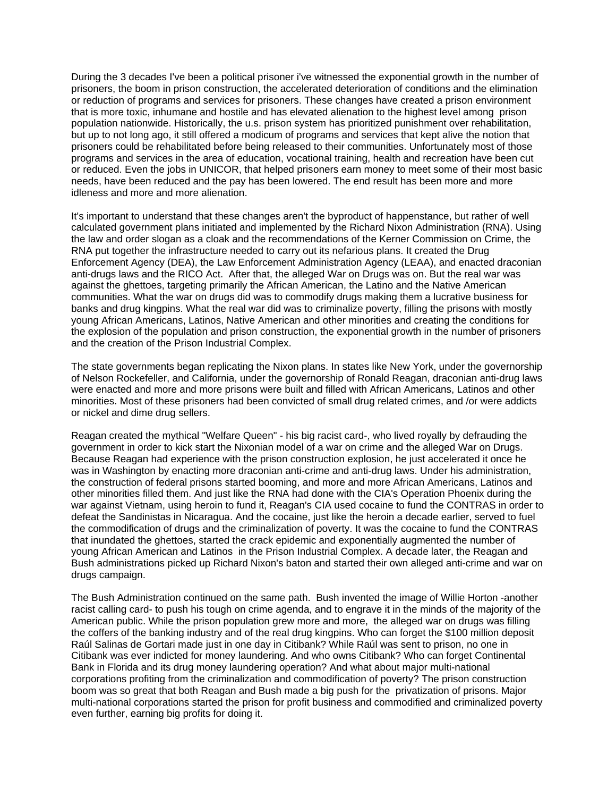During the 3 decades I've been a political prisoner i've witnessed the exponential growth in the number of prisoners, the boom in prison construction, the accelerated deterioration of conditions and the elimination or reduction of programs and services for prisoners. These changes have created a prison environment that is more toxic, inhumane and hostile and has elevated alienation to the highest level among prison population nationwide. Historically, the u.s. prison system has prioritized punishment over rehabilitation, but up to not long ago, it still offered a modicum of programs and services that kept alive the notion that prisoners could be rehabilitated before being released to their communities. Unfortunately most of those programs and services in the area of education, vocational training, health and recreation have been cut or reduced. Even the jobs in UNICOR, that helped prisoners earn money to meet some of their most basic needs, have been reduced and the pay has been lowered. The end result has been more and more idleness and more and more alienation.

It's important to understand that these changes aren't the byproduct of happenstance, but rather of well calculated government plans initiated and implemented by the Richard Nixon Administration (RNA). Using the law and order slogan as a cloak and the recommendations of the Kerner Commission on Crime, the RNA put together the infrastructure needed to carry out its nefarious plans. It created the Drug Enforcement Agency (DEA), the Law Enforcement Administration Agency (LEAA), and enacted draconian anti-drugs laws and the RICO Act. After that, the alleged War on Drugs was on. But the real war was against the ghettoes, targeting primarily the African American, the Latino and the Native American communities. What the war on drugs did was to commodify drugs making them a lucrative business for banks and drug kingpins. What the real war did was to criminalize poverty, filling the prisons with mostly young African Americans, Latinos, Native American and other minorities and creating the conditions for the explosion of the population and prison construction, the exponential growth in the number of prisoners and the creation of the Prison Industrial Complex.

The state governments began replicating the Nixon plans. In states like New York, under the governorship of Nelson Rockefeller, and California, under the governorship of Ronald Reagan, draconian anti-drug laws were enacted and more and more prisons were built and filled with African Americans, Latinos and other minorities. Most of these prisoners had been convicted of small drug related crimes, and /or were addicts or nickel and dime drug sellers.

Reagan created the mythical "Welfare Queen" - his big racist card-, who lived royally by defrauding the government in order to kick start the Nixonian model of a war on crime and the alleged War on Drugs. Because Reagan had experience with the prison construction explosion, he just accelerated it once he was in Washington by enacting more draconian anti-crime and anti-drug laws. Under his administration, the construction of federal prisons started booming, and more and more African Americans, Latinos and other minorities filled them. And just like the RNA had done with the CIA's Operation Phoenix during the war against Vietnam, using heroin to fund it, Reagan's CIA used cocaine to fund the CONTRAS in order to defeat the Sandinistas in Nicaragua. And the cocaine, just like the heroin a decade earlier, served to fuel the commodification of drugs and the criminalization of poverty. It was the cocaine to fund the CONTRAS that inundated the ghettoes, started the crack epidemic and exponentially augmented the number of young African American and Latinos in the Prison Industrial Complex. A decade later, the Reagan and Bush administrations picked up Richard Nixon's baton and started their own alleged anti-crime and war on drugs campaign.

The Bush Administration continued on the same path. Bush invented the image of Willie Horton -another racist calling card- to push his tough on crime agenda, and to engrave it in the minds of the majority of the American public. While the prison population grew more and more, the alleged war on drugs was filling the coffers of the banking industry and of the real drug kingpins. Who can forget the \$100 million deposit Raúl Salinas de Gortari made just in one day in Citibank? While Raúl was sent to prison, no one in Citibank was ever indicted for money laundering. And who owns Citibank? Who can forget Continental Bank in Florida and its drug money laundering operation? And what about major multi-national corporations profiting from the criminalization and commodification of poverty? The prison construction boom was so great that both Reagan and Bush made a big push for the privatization of prisons. Major multi-national corporations started the prison for profit business and commodified and criminalized poverty even further, earning big profits for doing it.